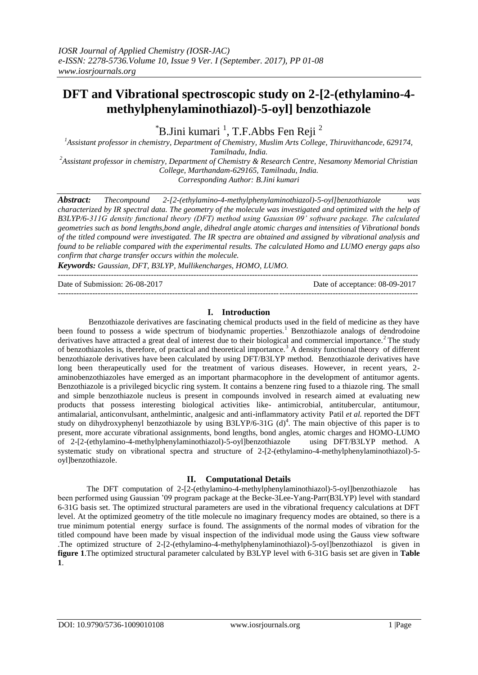# **DFT and Vibrational spectroscopic study on 2-[2-(ethylamino-4 methylphenylaminothiazol)-5-oyl] benzothiazole**

 $\mathrm{H}$ B.Jini kumari <sup>1</sup>, T.F.Abbs Fen Reji<sup>2</sup>

*<sup>1</sup>Assistant professor in chemistry, Department of Chemistry, Muslim Arts College, Thiruvithancode, 629174, Tamilnadu, India.*

*<sup>2</sup>Assistant professor in chemistry, Department of Chemistry & Research Centre, Nesamony Memorial Christian College, Marthandam-629165, Tamilnadu, India.*

*Corresponding Author: B.Jini kumari*

*Abstract: Thecompound 2-[2-(ethylamino-4-methylphenylaminothiazol)-5-oyl]benzothiazole was characterized by IR spectral data. The geometry of the molecule was investigated and optimized with the help of B3LYP/6-311G density functional theory (DFT) method using Gaussian 09' software package. The calculated geometries such as bond lengths,bond angle, dihedral angle atomic charges and intensities of Vibrational bonds of the titled compound were investigated. The IR spectra are obtained and assigned by vibrational analysis and found to be reliable compared with the experimental results. The calculated Homo and LUMO energy gaps also confirm that charge transfer occurs within the molecule.* 

*Keywords: Gaussian, DFT, B3LYP, Mullikencharges, HOMO, LUMO.* ---------------------------------------------------------------------------------------------------------------------------------------

Date of Submission: 26-08-2017 Date of acceptance: 08-09-2017

# **I. Introduction**

---------------------------------------------------------------------------------------------------------------------------------------

Benzothiazole derivatives are fascinating chemical products used in the field of medicine as they have been found to possess a wide spectrum of biodynamic properties.<sup>1</sup> Benzothiazole analogs of dendrodoine derivatives have attracted a great deal of interest due to their biological and commercial importance.<sup>2</sup> The study of benzothiazoles is, therefore, of practical and theoretical importance.<sup>3</sup> A density functional theory of different benzothiazole derivatives have been calculated by using DFT/B3LYP method. Benzothiazole derivatives have long been therapeutically used for the treatment of various diseases. However, in recent years, 2 aminobenzothiazoles have emerged as an important pharmacophore in the development of antitumor agents. Benzothiazole is a privileged bicyclic ring system. It contains a benzene ring fused to a thiazole ring. The small and simple benzothiazole nucleus is present in compounds involved in research aimed at evaluating new products that possess interesting biological activities like- antimicrobial, antitubercular, antitumour, antimalarial, anticonvulsant, anthelmintic, analgesic and anti-inflammatory activity Patil *et al.* reported the DFT study on dihydroxyphenyl benzothiazole by using  $B3LYP/6-31G$  (d)<sup>4</sup>. The main objective of this paper is to present, more accurate vibrational assignments, bond lengths, bond angles, atomic charges and HOMO-LUMO of 2-[2-(ethylamino-4-methylphenylaminothiazol)-5-oyl]benzothiazole using DFT/B3LYP method. A systematic study on vibrational spectra and structure of 2-[2-(ethylamino-4-methylphenylaminothiazol)-5 oyl]benzothiazole.

# **II. Computational Details**

The DFT computation of 2-[2-(ethylamino-4-methylphenylaminothiazol)-5-oyl]benzothiazole has been performed using Gaussian '09 program package at the Becke-3Lee-Yang-Parr(B3LYP) level with standard 6-31G basis set. The optimized structural parameters are used in the vibrational frequency calculations at DFT level. At the optimized geometry of the title molecule no imaginary frequency modes are obtained, so there is a true minimum potential energy surface is found. The assignments of the normal modes of vibration for the titled compound have been made by visual inspection of the individual mode using the Gauss view software .The optimized structure of 2-[2-(ethylamino-4-methylphenylaminothiazol)-5-oyl]benzothiazol is given in **figure 1**.The optimized structural parameter calculated by B3LYP level with 6-31G basis set are given in **Table 1**.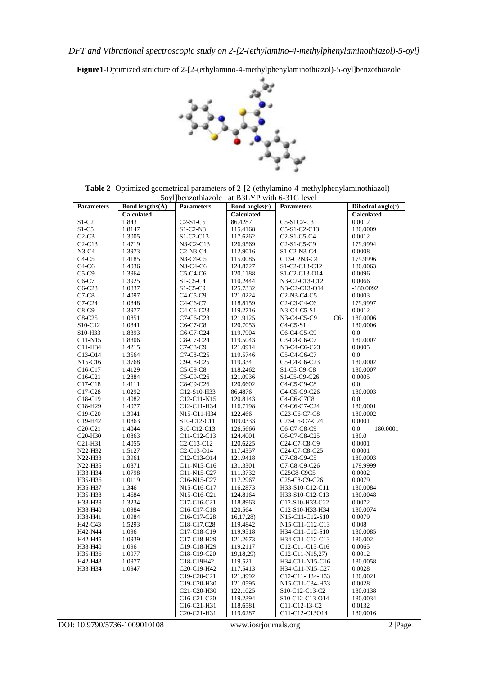**Figure1-**Optimized structure of 2-[2-(ethylamino-4-methylphenylaminothiazol)-5-oyl]benzothiazole



| <b>Table 2-</b> Optimized geometrical parameters of 2-[2-(ethylamino-4-methylphenylaminothiazol)- |
|---------------------------------------------------------------------------------------------------|
| 5 oyll benzothiazole at B3LYP with 6-31G level                                                    |

| <b>Parameters</b>                | Bond lengths $(\AA)$ | <b>Parameters</b>                                | Bond angles(o)    | <b>Parameters</b>                                                | Dihedral angle( $\circ$ ) |
|----------------------------------|----------------------|--------------------------------------------------|-------------------|------------------------------------------------------------------|---------------------------|
|                                  | <b>Calculated</b>    |                                                  | <b>Calculated</b> |                                                                  | <b>Calculated</b>         |
| $S1-C2$                          | 1.843                | $C2-S1-C5$                                       | 86.4287           | C5-S1C2-C3                                                       | 0.0012                    |
| $S1-C5$                          | 1.8147               | $S1-C2-N3$                                       | 115.4168          | C5-S1-C2-C13                                                     | 180.0009                  |
| $C2-C3$                          | 1.3005               | $S1-C2-C13$                                      | 117.6262          | C <sub>2</sub> -S <sub>1</sub> -C <sub>5</sub> -C <sub>4</sub>   | 0.0012                    |
| $C2-C13$                         | 1.4719               | N3-C2-C13                                        | 126.9569          | C <sub>2</sub> -S <sub>1</sub> -C <sub>5</sub> -C <sub>9</sub>   | 179.9994                  |
| $N3-C4$                          | 1.3973               | $C2-N3-C4$                                       | 112.9016          | S1-C2-N3-C4                                                      | 0.0008                    |
| $C4-C5$                          | 1.4185               | $N3-C4-C5$                                       | 115.0085          | C13-C2N3-C4                                                      | 179.9996                  |
| $C4-C6$                          | 1.4036               | $N3-C4-C6$                                       | 124.8727          | S1-C2-C13-C12                                                    | 180.0063                  |
| $C5-C9$                          | 1.3964               | $C5-C4-C6$                                       | 120.1188          | S1-C2-C13-O14                                                    | 0.0096                    |
| C6-C7                            | 1.3925               | $S1-C5-C4$                                       | 110.2444          | N3-C2-C13-C12                                                    | 0.0066                    |
| $C6-C23$                         | 1.0837               | $S1-C5-C9$                                       | 125.7332          | N3-C2-C13-O14                                                    | $-180.0092$               |
| $C7-C8$                          | 1.4097               | $C4-C5-C9$                                       | 121.0224          | C <sub>2</sub> -N <sub>3</sub> -C <sub>4</sub> -C <sub>5</sub>   | 0.0003                    |
| $C7-C24$                         | 1.0848               | C4-C6-C7                                         | 118.8159          | C <sub>2</sub> -C <sub>3</sub> -C <sub>4</sub> -C <sub>6</sub>   | 179.9997                  |
| $C8-C9$                          | 1.3977               | C4-C6-C23                                        | 119.2716          | N3-C4-C5-S1                                                      | 0.0012                    |
| $C8-C25$                         | 1.0851               | C7-C6-C23                                        | 121.9125          | $C6-$<br>N3-C4-C5-C9                                             | 180.0006                  |
| S10-C12                          | 1.0841               | C6-C7-C8                                         | 120.7053          | $C4-C5-S1$                                                       | 180.0006                  |
| S10-H33                          | 1.8393               | C6-C7-C24                                        | 119.7904          | C6-C4-C5-C9                                                      | 0.0                       |
| $C11-N15$                        | 1.8306               | C8-C7-C24                                        | 119.5043          | C3-C4-C6-C7                                                      | 180.0007                  |
| C11-H34                          | 1.4215               | C7-C8-C9                                         | 121.0914          | N3-C4-C6-C23                                                     | 0.0005                    |
| C <sub>13</sub> -O <sub>14</sub> | 1.3564               | C7-C8-C25                                        | 119.5746          | C5-C4-C6-C7                                                      | 0.0                       |
| N15-C16                          | 1.3768               | C9-C8-C25                                        | 119.334           | C5-C4-C6-C23                                                     | 180.0002                  |
| C <sub>16</sub> -C <sub>17</sub> | 1.4129               | $C5-C9-C8$                                       | 118.2462          | S1-C5-C9-C8                                                      | 180.0007                  |
|                                  | 1.2884               | C5-C9-C26                                        | 121.0936          | S1-C5-C9-C26                                                     | 0.0005                    |
| $C16-C21$                        |                      | C8-C9-C26                                        | 120.6602          |                                                                  | 0.0                       |
| $C17-C18$                        | 1.4111               |                                                  |                   | C4-C5-C9-C8                                                      |                           |
| C17-C28                          | 1.0292               | C12-S10-H33                                      | 86.4876           | C4-C5-C9-C26                                                     | 180.0003                  |
| C18-C19                          | 1.4082               | C12-C11-N15                                      | 120.8143          | C4-C6-C7C8                                                       | 0.0                       |
| C18-H29                          | 1.4077               | C12-C11-H34                                      | 116.7198          | C4-C6-C7-C24                                                     | 180.0001                  |
| C19-C20                          | 1.3941               | N15-C11-H34                                      | 122.466           | C23-C6-C7-C8                                                     | 180.0002                  |
| C19-H42                          | 1.0863               | S10-C12-C11                                      | 109.0333          | C23-C6-C7-C24                                                    | 0.0001                    |
| $C20-C21$                        | 1.4044               | S10-C12-C13                                      | 126.5666          | C6-C7-C8-C9                                                      | 0.0<br>180.0001           |
| C <sub>20</sub> -H <sub>30</sub> | 1.0863               | C11-C12-C13                                      | 124.4001          | C6-C7-C8-C25                                                     | 180.0                     |
| C21-H31                          | 1.4055               | C <sub>2</sub> -C <sub>13</sub> -C <sub>12</sub> | 120.6225          | C24-C7-C8-C9                                                     | 0.0001                    |
| N22-H32                          | 1.5127               | C <sub>2</sub> -C <sub>13</sub> -O <sub>14</sub> | 117.4357          | C24-C7-C8-C25                                                    | 0.0001                    |
| N22-H33                          | 1.3961               | C12-C13-O14                                      | 121.9418          | C7-C8-C9-C5                                                      | 180.0003                  |
| N22-H35                          | 1.0871               | C11-N15-C16                                      | 131.3301          | C7-C8-C9-C26                                                     | 179.9999                  |
| H33-H34                          | 1.0798               | C11-N15-C27                                      | 111.3732          | C25C8-C9C5                                                       | 0.0002                    |
| H35-H36                          | 1.0119               | C16-N15-C27                                      | 117.2967          | C <sub>25</sub> -C <sub>8</sub> -C <sub>9</sub> -C <sub>26</sub> | 0.0079                    |
| H35-H37                          | 1.346                | N15-C16-C17                                      | 116.2873          | H33-S10-C12-C11                                                  | 180.0084                  |
| H35-H38                          | 1.4684               | N15-C16-C21                                      | 124.8164          | H33-S10-C12-C13                                                  | 180.0048                  |
| H38-H39                          | 1.3234               | C17-C16-C21                                      | 118.8963          | C12-S10-H33-C22                                                  | 0.0072                    |
| H38-H40                          | 1.0984               | C16-C17-C18                                      | 120.564           | C12-S10-H33-H34                                                  | 180.0074                  |
| H38-H41                          | 1.0984               | C16-C17-C28                                      | 16, 17, 28        | N15-C11-C12-S10                                                  | 0.0079                    |
| H42-C43                          | 1.5293               | C18-C17,C28                                      | 119.4842          | N15-C11-C12-C13                                                  | 0.008                     |
| H42-N44                          | 1.096                | C17-C18-C19                                      | 119.9518          | H34-C11-C12-S10                                                  | 180.0085                  |
| H42-H45                          | 1.0939               | C17-C18-H29                                      | 121.2673          | H34-C11-C12-C13                                                  | 180.002                   |
| H38-H40                          | 1.096                | C19-C18-H29                                      | 119.2117          | C12-C11-C15-C16                                                  | 0.0065                    |
| H35-H36                          | 1.0977               | C18-C19-C20                                      | 19,18,29)         | $C12-C11-N15,27$                                                 | 0.0012                    |
| H42-H43                          | 1.0977               | C18-C19H42                                       | 119.521           | H34-C11-N15-C16                                                  | 180.0058                  |
| H33-H34                          | 1.0947               | C20-C19-H42                                      | 117.5413          | H34-C11-N15-C27                                                  | 0.0028                    |
|                                  |                      | C19-C20-C21                                      | 121.3992          | C12-C11-H34-H33                                                  | 180.0021                  |
|                                  |                      | C19-C20-H30                                      | 121.0595          | N15-C11-C34-H33                                                  | 0.0028                    |
|                                  |                      | C21-C20-H30                                      | 122.1025          | S10-C12-C13-C2                                                   | 180.0138                  |
|                                  |                      | C16-C21-C20                                      | 119.2394          | S10-C12-C13-O14                                                  | 180.0034                  |
|                                  |                      | C16-C21-H31                                      | 118.6581          | C11-C12-13-C2                                                    | 0.0132                    |
|                                  |                      | C20-C21-H31                                      | 119.6287          | C11-C12-C13O14                                                   | 180.0016                  |

DOI: 10.9790/5736-1009010108 www.iosrjournals.org 2 |Page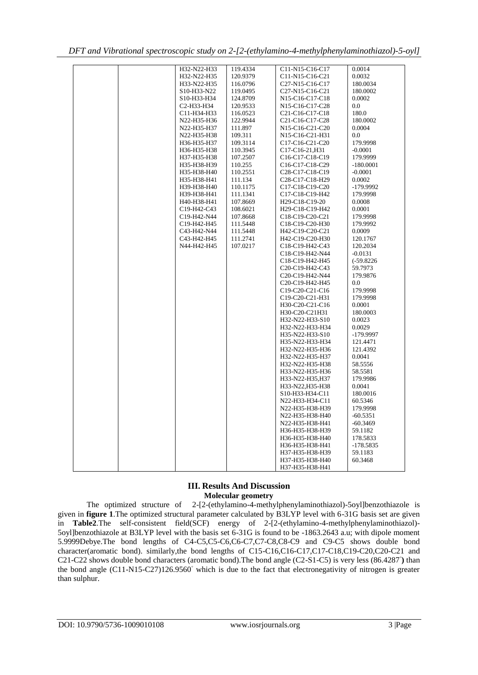| H32-N22-H33                                       | 119.4334 | C11-N15-C16-C17                                                    | 0.0014       |
|---------------------------------------------------|----------|--------------------------------------------------------------------|--------------|
| H32-N22-H35                                       | 120.9379 | C11-N15-C16-C21                                                    | 0.0032       |
| H33-N22-H35                                       | 116.0796 | C <sub>27</sub> -N <sub>15</sub> -C <sub>16</sub> -C <sub>17</sub> | 180.0034     |
| S <sub>10</sub> -H <sub>33</sub> -N <sub>22</sub> | 119.0495 | C <sub>27</sub> -N <sub>15</sub> -C <sub>16</sub> -C <sub>21</sub> | 180.0002     |
| S10-H33-H34                                       | 124.8709 | N <sub>15</sub> -C <sub>16</sub> -C <sub>17</sub> -C <sub>18</sub> | 0.0002       |
| C2-H33-H34                                        | 120.9533 | N <sub>15</sub> -C <sub>16</sub> -C <sub>17</sub> -C <sub>28</sub> | 0.0          |
| C11-H34-H33                                       | 116.0523 | C <sub>21</sub> -C <sub>16</sub> -C <sub>17</sub> -C <sub>18</sub> | 180.0        |
| N22-H35-H36                                       | 122.9944 | C <sub>21</sub> -C <sub>16</sub> -C <sub>17</sub> -C <sub>28</sub> | 180.0002     |
| N22-H35-H37                                       | 111.897  | N <sub>15</sub> -C <sub>16</sub> -C <sub>21</sub> -C <sub>20</sub> | 0.0004       |
| N22-H35-H38                                       | 109.311  | N <sub>15</sub> -C <sub>16</sub> -C <sub>21</sub> -H <sub>31</sub> | 0.0          |
| H36-H35-H37                                       | 109.3114 | C <sub>17</sub> -C <sub>16</sub> -C <sub>21</sub> -C <sub>20</sub> | 179.9998     |
| H36-H35-H38                                       | 110.3945 | C17-C16-21, H31                                                    | $-0.0001$    |
| H37-H35-H38                                       | 107.2507 | C <sub>16</sub> -C <sub>17</sub> -C <sub>18</sub> -C <sub>19</sub> | 179.9999     |
| H35-H38-H39                                       | 110.255  | C <sub>16</sub> -C <sub>17</sub> -C <sub>18</sub> -C <sub>29</sub> | $-180.0001$  |
| H35-H38-H40                                       | 110.2551 | C <sub>28</sub> -C <sub>17</sub> -C <sub>18</sub> -C <sub>19</sub> | $-0.0001$    |
| H35-H38-H41                                       | 111.134  | C <sub>28</sub> -C <sub>17</sub> -C <sub>18</sub> -H <sub>29</sub> | 0.0002       |
| H39-H38-H40                                       | 110.1175 | C17-C18-C19-C20                                                    | -179.9992    |
| H39-H38-H41                                       | 111.1341 | C17-C18-C19-H42                                                    | 179.9998     |
| H40-H38-H41                                       | 107.8669 | H <sub>29</sub> -C <sub>18</sub> -C <sub>19</sub> -20              | 0.0008       |
|                                                   |          |                                                                    |              |
| C19-H42-C43                                       | 108.6021 | H <sub>29</sub> -C <sub>18</sub> -C <sub>19</sub> -H <sub>42</sub> | 0.0001       |
| C19-H42-N44                                       | 107.8668 | C18-C19-C20-C21                                                    | 179.9998     |
| C19-H42-H45                                       | 111.5448 | C <sub>18</sub> -C <sub>19</sub> -C <sub>20</sub> -H <sub>30</sub> | 179.9992     |
| C43-H42-N44                                       | 111.5448 | H42-C19-C20-C21                                                    | 0.0009       |
| C43-H42-H45                                       | 111.2741 | H42-C19-C20-H30                                                    | 120.1767     |
| N44-H42-H45                                       | 107.0217 | C18-C19-H42-C43                                                    | 120.2034     |
|                                                   |          | C18-C19-H42-N44                                                    | $-0.0131$    |
|                                                   |          | C18-C19-H42-H45                                                    | $(-59.8226)$ |
|                                                   |          | C <sub>20</sub> -C <sub>19</sub> -H <sub>42</sub> -C <sub>43</sub> | 59.7973      |
|                                                   |          | C20-C19-H42-N44                                                    | 179.9876     |
|                                                   |          | C20-C19-H42-H45                                                    | 0.0          |
|                                                   |          | C <sub>19</sub> -C <sub>20</sub> -C <sub>21</sub> -C <sub>16</sub> | 179.9998     |
|                                                   |          | C19-C20-C21-H31                                                    | 179.9998     |
|                                                   |          | H30-C20-C21-C16                                                    | 0.0001       |
|                                                   |          | H30-C20-C21H31                                                     | 180.0003     |
|                                                   |          | H32-N22-H33-S10                                                    | 0.0023       |
|                                                   |          | H32-N22-H33-H34                                                    | 0.0029       |
|                                                   |          | H35-N22-H33-S10                                                    | -179.9997    |
|                                                   |          | H35-N22-H33-H34                                                    | 121.4471     |
|                                                   |          | H32-N22-H35-H36                                                    | 121.4392     |
|                                                   |          | H32-N22-H35-H37                                                    | 0.0041       |
|                                                   |          | H32-N22-H35-H38                                                    | 58.5556      |
|                                                   |          | H33-N22-H35-H36                                                    | 58.5581      |
|                                                   |          |                                                                    |              |
|                                                   |          | H33-N22-H35, H37                                                   | 179.9986     |
|                                                   |          | H33-N22, H35-H38                                                   | 0.0041       |
|                                                   |          | S10-H33-H34-C11                                                    | 180.0016     |
|                                                   |          | N22-H33-H34-C11                                                    | 60.5346      |
|                                                   |          | N22-H35-H38-H39                                                    | 179.9998     |
|                                                   |          | N22-H35-H38-H40                                                    | $-60.5351$   |
|                                                   |          | N22-H35-H38-H41                                                    | $-60.3469$   |
|                                                   |          | H36-H35-H38-H39                                                    | 59.1182      |
|                                                   |          | H36-H35-H38-H40                                                    | 178.5833     |
|                                                   |          | H36-H35-H38-H41                                                    | $-178.5835$  |
|                                                   |          | H37-H35-H38-H39                                                    | 59.1183      |
|                                                   |          | H37-H35-H38-H40                                                    | 60.3468      |
|                                                   |          | H37-H35-H38-H41                                                    |              |

|  |  |  | DFT and Vibrational spectroscopic study on 2-[2-(ethylamino-4-methylphenylaminothiazol)-5-oyl] |
|--|--|--|------------------------------------------------------------------------------------------------|
|  |  |  |                                                                                                |

## **III. Results And Discussion Molecular geometry**

The optimized structure of 2-[2-(ethylamino-4-methylphenylaminothiazol)-5oyl]benzothiazole is given in **figure 1**.The optimized structural parameter calculated by B3LYP level with 6-31G basis set are given in **Table2**.The self-consistent field(SCF) energy of 2-[2-(ethylamino-4-methylphenylaminothiazol)- 5oyl]benzothiazole at B3LYP level with the basis set 6-31G is found to be -1863.2643 a.u; with dipole moment 5.9999Debye.The bond lengths of C4-C5,C5-C6,C6-C7,C7-C8,C8-C9 and C9-C5 shows double bond character(aromatic bond). similarly,the bond lengths of C15-C16,C16-C17,C17-C18,C19-C20,C20-C21 and C21-C22 shows double bond characters (aromatic bond).The bond angle (C2-S1-C5) is very less (86.4287<sup>°</sup>) than the bond angle (C11-N15-C27)126.9560◦ which is due to the fact that electronegativity of nitrogen is greater than sulphur.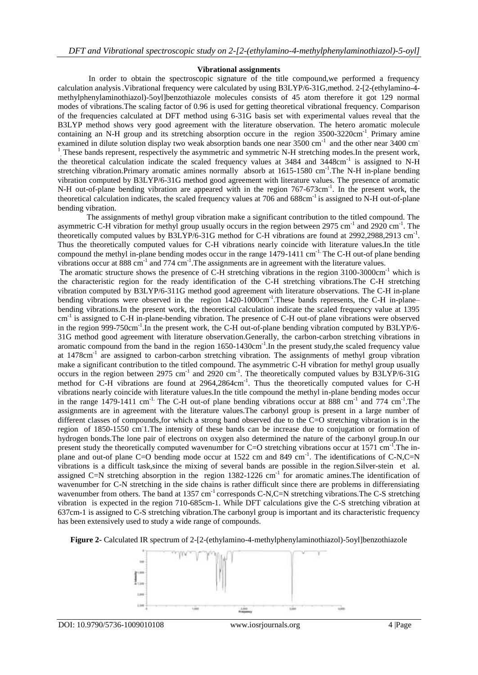#### **Vibrational assignments**

In order to obtain the spectroscopic signature of the title compound, we performed a frequency calculation analysis.Vibrational frequency were calculated by using B3LYP/6-31G,method. 2-[2-(ethylamino-4 methylphenylaminothiazol)-5oyl]benzothiazole molecules consists of 45 atom therefore it got 129 normal modes of vibrations.The scaling factor of 0.96 is used for getting theoretical vibrational frequency. Comparison of the frequencies calculated at DFT method using 6-31G basis set with experimental values reveal that the B3LYP method shows very good agreement with the literature observation. The hetero aromatic molecule containing an N-H group and its stretching absorption occure in the region 3500-3220cm<sup>-1</sup> Primary amine examined in dilute solution display two weak absorption bands one near 3500 cm<sup>-1</sup> and the other near 3400 cm<sup>-1</sup> <sup>1</sup> These bands represent, respectively the asymmetric and symmetric N-H stretching modes.In the present work, the theoretical calculation indicate the scaled frequency values at 3484 and 3448cm<sup>-1</sup> is assigned to N-H stretching vibration. Primary aromatic amines normally absorb at 1615-1580 cm<sup>-1</sup>. The N-H in-plane bending vibration computed by B3LYP/6-31G method good agreement with literature values. The presence of aromatic N-H out-of-plane bending vibration are appeared with in the region 767-673cm<sup>-1</sup>. In the present work, the theoretical calculation indicates, the scaled frequency values at 706 and 688cm<sup>-1</sup> is assigned to N-H out-of-plane bending vibration.

The assignments of methyl group vibration make a significant contribution to the titled compound. The asymmetric C-H vibration for methyl group usually occurs in the region between 2975 cm<sup>-1</sup> and 2920 cm<sup>-1</sup>. The theoretically computed values by B3LYP/6-31G method for C-H vibrations are found at 2992,2988,2913 cm<sup>-1</sup>. Thus the theoretically computed values for C-H vibrations nearly coincide with literature values.In the title compound the methyl in-plane bending modes occur in the range  $1479-1411$  cm<sup>-1.</sup> The C-H out-of plane bending vibrations occur at 888 cm<sup>-1</sup> and 774 cm<sup>-1</sup>. The assignments are in agreement with the literature values.

The aromatic structure shows the presence of C-H stretching vibrations in the region 3100-3000cm<sup>-1</sup> which is the characteristic region for the ready identification of the C-H stretching vibrations.The C-H stretching vibration computed by B3LYP/6-311G method good agreement with literature observations. The C-H in-plane bending vibrations were observed in the region 1420-1000cm<sup>-1</sup>. These bands represents, the C-H in-plane– bending vibrations.In the present work, the theoretical calculation indicate the scaled frequency value at 1395 cm<sup>-1</sup> is assigned to C-H in-plane-bending vibration. The presence of C-H out-of plane vibrations were observed in the region 999-750cm<sup>-1</sup>. In the present work, the C-H out-of-plane bending vibration computed by B3LYP/6-31G method good agreement with literature observation.Generally, the carbon-carbon stretching vibrations in aromatic compound from the band in the region 1650-1430cm<sup>-1</sup>. In the present study, the scaled frequency value at 1478cm<sup>-1</sup> are assigned to carbon-carbon stretching vibration. The assignments of methyl group vibration make a significant contribution to the titled compound. The asymmetric C-H vibration for methyl group usually occurs in the region between 2975 cm<sup>-1</sup> and 2920 cm<sup>-1</sup>. The theoretically computed values by B3LYP/6-31G method for C-H vibrations are found at 2964,2864cm<sup>-1</sup>. Thus the theoretically computed values for C-H vibrations nearly coincide with literature values.In the title compound the methyl in-plane bending modes occur in the range  $1479-1411$  cm<sup>-1.</sup> The C-H out-of plane bending vibrations occur at 888 cm<sup>-1</sup> and 774 cm<sup>-1</sup>. The assignments are in agreement with the literature values.The carbonyl group is present in a large number of different classes of compounds,for which a strong band observed due to the C=O stretching vibration is in the region of 1850-1550 cm 1. The intensity of these bands can be increase due to conjugation or formation of hydrogen bonds.The lone pair of electrons on oxygen also determined the nature of the carbonyl group.In our present study the theoretically computed wavenumber for C=O stretching vibrations occur at 1571 cm<sup>-1</sup>. The inplane and out-of plane C=O bending mode occur at  $1522$  cm and  $849$  cm<sup>-1</sup>. The identifications of C-N,C=N vibrations is a difficult task,since the mixing of several bands are possible in the region.Silver-stein et al. assigned C=N stretching absorption in the region  $1382-1226$  cm<sup>-1</sup> for aromatic amines. The identification of wavenumber for C-N stretching in the side chains is rather difficult since there are problems in differensiating wavenumber from others. The band at 1357 cm<sup>-1</sup> corresponds C-N,C=N stretching vibrations. The C-S stretching vibration is expected in the region 710-685cm-1. While DFT calculations give the C-S stretching vibration at 637cm-1 is assigned to C-S stretching vibration.The carbonyl group is important and its characteristic frequency has been extensively used to study a wide range of compounds.

**Figure 2-** Calculated IR spectrum of 2-[2-(ethylamino-4-methylphenylaminothiazol)-5oyl]benzothiazole

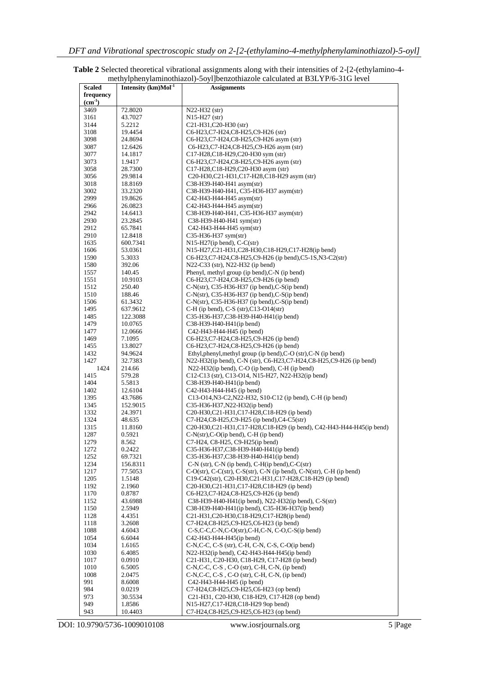|               |                                    | memyiphenyiammounazon-boyi joenzounazoie calculated at DbLTT10-bTO level             |
|---------------|------------------------------------|--------------------------------------------------------------------------------------|
| <b>Scaled</b> | Intensity $(km)$ Mol <sup>-1</sup> | <b>Assignments</b>                                                                   |
| frequency     |                                    |                                                                                      |
| $(cm-1)$      |                                    |                                                                                      |
| 3469          | 72.8020                            | N22-H32 (str)                                                                        |
|               |                                    |                                                                                      |
| 3161          | 43.7027                            | $N15-H27$ (str)                                                                      |
| 3144          | 5.2212                             | C21-H31,C20-H30 (str)                                                                |
| 3108          | 19.4454                            | C6-H23,C7-H24,C8-H25,C9-H26 (str)                                                    |
| 3098          | 24.8694                            | C6-H23,C7-H24,C8-H25,C9-H26 asym (str)                                               |
|               |                                    |                                                                                      |
| 3087          | 12.6426                            | C6-H23,C7-H24,C8-H25,C9-H26 asym (str)                                               |
| 3077          | 14.1817                            | C17-H28,C18-H29,C20-H30 sym (str)                                                    |
| 3073          | 1.9417                             | C6-H23,C7-H24,C8-H25,C9-H26 asym (str)                                               |
| 3058          | 28.7300                            | C17-H28,C18-H29,C20-H30 asym (str)                                                   |
| 3056          | 29.9814                            | C20-H30,C21-H31,C17-H28,C18-H29 asym (str)                                           |
|               |                                    |                                                                                      |
| 3018          | 18.8169                            | C38-H39-H40-H41 asym(str)                                                            |
| 3002          | 33.2320                            | C38-H39-H40-H41, C35-H36-H37 asym(str)                                               |
| 2999          | 19.8626                            | C42-H43-H44-H45 asym(str)                                                            |
| 2966          | 26.0823                            | C42-H43-H44-H45 asym(str)                                                            |
| 2942          | 14.6413                            | C38-H39-H40-H41, C35-H36-H37 asym(str)                                               |
| 2930          | 23.2845                            | C38-H39-H40-H41 sym(str)                                                             |
|               |                                    |                                                                                      |
| 2912          | 65.7841                            | $C42-H43-H44-H45$ sym(str)                                                           |
| 2910          | 12.8418                            | $C35-H36-H37$ sym(str)                                                               |
| 1635          | 600.7341                           | $N15-H27$ (ip bend), C-C(str)                                                        |
| 1606          | 53.0361                            | N15-H27,C21-H31,C28-H30,C18-H29,C17-H28(ip bend)                                     |
| 1590          | 5.3033                             | C6-H23,C7-H24,C8-H25,C9-H26 (ip bend),C5-1S,N3-C2(str)                               |
|               |                                    |                                                                                      |
| 1580          | 392.06                             | N22-C33 (str), N22-H32 (ip bend)                                                     |
| 1557          | 140.45                             | Phenyl, methyl group (ip bend), C-N (ip bend)                                        |
| 1551          | 10.9103                            | C6-H23,C7-H24,C8-H25,C9-H26 (ip bend)                                                |
| 1512          | 250.40                             | $C-N(str)$ , C35-H36-H37 (ip bend), C-S(ip bend)                                     |
| 1510          | 188.46                             | $C-N(str)$ , C35-H36-H37 (ip bend), C-S(ip bend)                                     |
|               |                                    |                                                                                      |
| 1506          | 61.3432                            | $C-N(str)$ , C35-H36-H37 (ip bend), C-S(ip bend)                                     |
| 1495          | 637.9612                           | $C-H$ (ip bend), $C-S$ (str), $C13-O14$ (str)                                        |
| 1485          | 122.3088                           | C35-H36-H37,C38-H39-H40-H41(ip bend)                                                 |
| 1479          | 10.0765                            | $C38-H39-H40-H41$ (ip bend)                                                          |
| 1477          | 12.0666                            | $C42-H43-H44-H45$ (ip bend)                                                          |
|               |                                    |                                                                                      |
| 1469          | 7.1095                             | C6-H23,C7-H24,C8-H25,C9-H26 (ip bend)                                                |
| 1455          | 13.8027                            | C6-H23,C7-H24,C8-H25,C9-H26 (ip bend)                                                |
| 1432          | 94.9624                            | Ethyl, phenyl, methyl group (ip bend), C-O (str), C-N (ip bend)                      |
| 1427          | 32.7383                            | N22-H32(ip bend), C-N (str), C6-H23, C7-H24, C8-H25, C9-H26 (ip bend)                |
| 1424          | 214.66                             | N22-H32(ip bend), C-O (ip bend), C-H (ip bend)                                       |
| 1415          | 579.28                             | C12-C13 (str), C13-O14, N15-H27, N22-H32(ip bend)                                    |
|               |                                    |                                                                                      |
| 1404          | 5.5813                             | $C38-H39-H40-H41$ (ip bend)                                                          |
| 1402          | 12.6104                            | C42-H43-H44-H45 (ip bend)                                                            |
| 1395          | 43.7686                            | C13-O14, N3-C2, N22-H32, S10-C12 (ip bend), C-H (ip bend)                            |
| 1345          | 152.9015                           | C35-H36-H37, N22-H32(ip bend)                                                        |
| 1332          | 24.3971                            | C20-H30,C21-H31,C17-H28,C18-H29 (ip bend)                                            |
|               |                                    |                                                                                      |
| 1324          | 48.635                             | $C7-H24, C8-H25, C9-H25$ (ip bend), $C4-C5$ (str)                                    |
| 1315          | 11.8160                            | C20-H30,C21-H31,C17-H28,C18-H29 (ip bend), C42-H43-H44-H45(ip bend)                  |
| 1287          | 0.5921                             | $C-N(str)$ , $C-O(ip$ bend), $C-H$ (ip bend)                                         |
| 1279          | 8.562                              | C7-H24, C8-H25, C9-H25(ip bend)                                                      |
| 1272          | 0.2422                             | C35-H36-H37,C38-H39-H40-H41(ip bend)                                                 |
| 1252          | 69.7321                            | C35-H36-H37,C38-H39-H40-H41(ip bend)                                                 |
|               |                                    | $C-N$ (str), $C-N$ (ip bend), $C-H$ (ip bend), $C-C$ (str)                           |
| 1234          | 156.8311                           |                                                                                      |
| 1217          | 77.5053                            | $C-O(str)$ , $C-C(str)$ , $C-S(str)$ , $C-N$ (ip bend), $C-N(str)$ , $C-H$ (ip bend) |
| 1205          | 1.5148                             | C19-C42(str), C20-H30,C21-H31,C17-H28,C18-H29 (ip bend)                              |
| 1192          | 2.1960                             | C20-H30,C21-H31,C17-H28,C18-H29 (ip bend)                                            |
| 1170          | 0.8787                             | C6-H23,C7-H24,C8-H25,C9-H26 (ip bend)                                                |
| 1152          | 43.6988                            | C38-H39-H40-H41(ip bend), N22-H32(ip bend), C-S(str)                                 |
|               |                                    |                                                                                      |
| 1150          | 2.5949                             | C38-H39-H40-H41(ip bend), C35-H36-H37(ip bend)                                       |
| 1128          | 4.4351                             | C21-H31,C20-H30,C18-H29,C17-H28(ip bend)                                             |
| 1118          | 3.2608                             | C7-H24,C8-H25,C9-H25,C6-H23 (ip bend)                                                |
| 1088          | 4.6043                             | $C-S,C-C.P.N.C-O(str).C-H.C-N. C-O.C-S(ip bend)$                                     |
| 1054          | 6.6044                             | C42-H43-H44-H45(ip bend)                                                             |
|               |                                    |                                                                                      |
| 1034          | 1.6165                             | C-N,C-C, C-S (str), C-H, C-N, C-S, C-O(ip bend)                                      |
| 1030          | 6.4085                             | N22-H32(ip bend), C42-H43-H44-H45(ip bend)                                           |
| 1017          | 0.0910                             | C21-H31, C20-H30, C18-H29, C17-H28 (ip bend)                                         |
| 1010          | 6.5005                             | $C-N, C-C, C-S$ , $C-O$ (str), $C-H$ , $C-N$ , (ip bend)                             |
| 1008          | 2.0475                             | $C-N, C-C, C-S$ , $C-O$ (str), $C-H, C-N$ , (ip bend)                                |
|               |                                    |                                                                                      |
| 991           | 8.6008                             | C42-H43-H44-H45 (ip bend)                                                            |
| 984           | 0.0219                             | C7-H24,C8-H25,C9-H25,C6-H23 (op bend)                                                |
| 973           | 30.5534                            | C21-H31, C20-H30, C18-H29, C17-H28 (op bend)                                         |
| 949           | 1.8586                             | N15-H27,C17-H28,C18-H29 9op bend)                                                    |

| <b>Table 2</b> Selected theoretical vibrational assignments along with their intensities of 2-[2-(ethylamino-4- |
|-----------------------------------------------------------------------------------------------------------------|
| methylphenylaminothiazol)-5oyl]benzothiazole calculated at B3LYP/6-31G level                                    |

DOI: 10.9790/5736-1009010108 www.iosrjournals.org 5 |Page

10.4403

943

C7-H24,C8-H25,C9-H25,C6-H23 (op bend)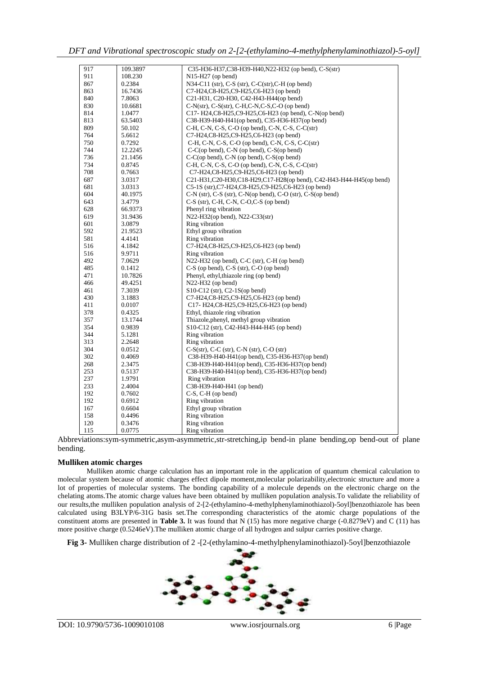*DFT and Vibrational spectroscopic study on 2-[2-(ethylamino-4-methylphenylaminothiazol)-5-oyl]* 

| 917 | 109.3897 | C35-H36-H37,C38-H39-H40,N22-H32 (op bend), C-S(str)                |
|-----|----------|--------------------------------------------------------------------|
| 911 | 108.230  | $N15-H27$ (op bend)                                                |
| 867 | 0.2384   | $N34-C11$ (str), C-S (str), C-C(str), C-H (op bend)                |
| 863 | 16.7436  | C7-H24,C8-H25,C9-H25,C6-H23 (op bend)                              |
| 840 | 7.8063   | C21-H31, C20-H30, C42-H43-H44(op bend)                             |
| 830 | 10.6681  | $C-N(str)$ , $C-S(str)$ , $C-H,C-N,C-S,C-O$ (op bend)              |
| 814 | 1.0477   | C17- H24,C8-H25,C9-H25,C6-H23 (op bend), C-N(op bend)              |
| 813 | 63.5403  | C38-H39-H40-H41(op bend), C35-H36-H37(op bend)                     |
| 809 | 50.102   | C-H, C-N, C-S, C-O (op bend), C-N, C-S, C-C(str)                   |
| 764 | 5.6612   | C7-H24,C8-H25,C9-H25,C6-H23 (op bend)                              |
| 750 | 0.7292   | C-H, C-N, C-S, C-O (op bend), C-N, C-S, C-C(str)                   |
| 744 | 12.2245  | C-C(op bend), C-N (op bend), C-S(op bend)                          |
| 736 | 21.1456  | C-C(op bend), C-N (op bend), C-S(op bend)                          |
| 734 | 0.8745   | C-H, C-N, C-S, C-O (op bend), C-N, C-S, C-C(str)                   |
| 708 | 0.7663   | C7-H24,C8-H25,C9-H25,C6-H23 (op bend)                              |
| 687 | 3.0317   | C21-H31,C20-H30,C18-H29,C17-H28(op bend), C42-H43-H44-H45(op bend) |
| 681 | 3.0313   | C5-1S (str), C7-H24, C8-H25, C9-H25, C6-H23 (op bend)              |
| 604 | 40.1975  | C-N (str), C-S (str), C-N(op bend), C-O (str), C-S(op bend)        |
| 643 | 3.4779   | $C-S$ (str), C-H, C-N, C-O,C-S (op bend)                           |
| 628 | 66.9373  | Phenyl ring vibration                                              |
| 619 | 31.9436  | N22-H32(op bend), N22-C33(str)                                     |
| 601 | 3.0879   | Ring vibration                                                     |
| 592 | 21.9523  | Ethyl group vibration                                              |
| 581 | 4.4141   | Ring vibration                                                     |
| 516 | 4.1842   | C7-H24,C8-H25,C9-H25,C6-H23 (op bend)                              |
| 516 | 9.9711   | Ring vibration                                                     |
| 492 | 7.0629   | N22-H32 (op bend), C-C (str), C-H (op bend)                        |
| 485 | 0.1412   | $C-S$ (op bend), $C-S$ (str), $C-O$ (op bend)                      |
| 471 | 10.7826  | Phenyl, ethyl, thiazole ring (op bend)                             |
| 466 | 49.4251  | N22-H32 (op bend)                                                  |
| 461 | 7.3039   | $S10-C12$ (str), C2-1S(op bend)                                    |
| 430 | 3.1883   | C7-H24,C8-H25,C9-H25,C6-H23 (op bend)                              |
| 411 | 0.0107   | C17-H24,C8-H25,C9-H25,C6-H23 (op bend)                             |
| 378 | 0.4325   | Ethyl, thiazole ring vibration                                     |
| 357 | 13.1744  | Thiazole, phenyl, methyl group vibration                           |
| 354 | 0.9839   | S10-C12 (str), C42-H43-H44-H45 (op bend)                           |
| 344 | 5.1281   | Ring vibration                                                     |
| 313 | 2.2648   | Ring vibration                                                     |
| 304 | 0.0512   | $C-S(str)$ , $C-C$ (str), $C-N$ (str), $C-O$ (str)                 |
| 302 | 0.4069   | C38-H39-H40-H41(op bend), C35-H36-H37(op bend)                     |
| 268 | 2.3475   | C38-H39-H40-H41(op bend), C35-H36-H37(op bend)                     |
| 253 | 0.5137   | C38-H39-H40-H41(op bend), C35-H36-H37(op bend)                     |
| 237 | 1.9791   | Ring vibration                                                     |
| 233 | 2.4004   | C38-H39-H40-H41 (op bend)                                          |
| 192 | 0.7602   | $C-S, C-H$ (op bend)                                               |
| 192 | 0.6912   | Ring vibration                                                     |
| 167 | 0.6604   | Ethyl group vibration                                              |
| 158 | 0.4496   | Ring vibration                                                     |
| 120 | 0.3476   | Ring vibration                                                     |
| 115 | 0.0775   | Ring vibration                                                     |

Abbreviations:sym-symmetric,asym-asymmetric,str-stretching,ip bend-in plane bending,op bend-out of plane bending.

## **Mulliken atomic charges**

Mulliken atomic charge calculation has an important role in the application of quantum chemical calculation to molecular system because of atomic charges effect dipole moment,molecular polarizability,electronic structure and more a lot of properties of molecular systems. The bonding capability of a molecule depends on the electronic charge on the chelating atoms.The atomic charge values have been obtained by mulliken population analysis.To validate the reliability of our results,the mulliken population analysis of 2-[2-(ethylamino-4-methylphenylaminothiazol)-5oyl]benzothiazole has been calculated using B3LYP/6-31G basis set.The corresponding characteristics of the atomic charge populations of the constituent atoms are presented in **Table 3.** It was found that N (15) has more negative charge (-0.8279eV) and C (11) has more positive charge (0.5246eV). The mulliken atomic charge of all hydrogen and sulpur carries positive charge.

**Fig 3-** Mulliken charge distribution of 2 -[2-(ethylamino-4-methylphenylaminothiazol)-5oyl]benzothiazole

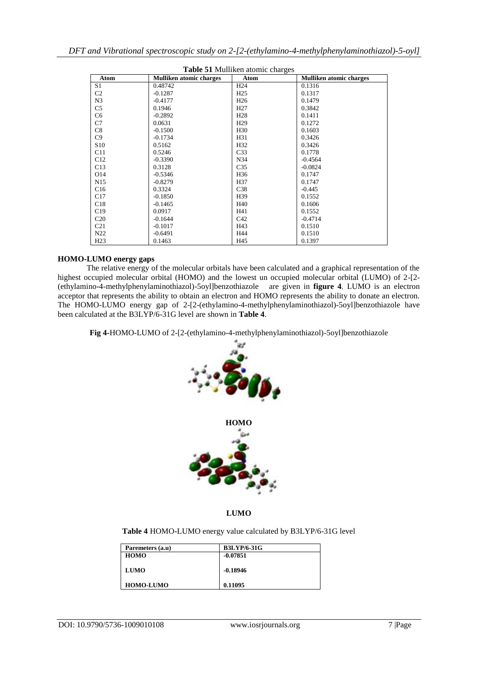| <b>Table 51 Mulliken atomic charges</b> |                                |                 |                                |
|-----------------------------------------|--------------------------------|-----------------|--------------------------------|
| Atom                                    | <b>Mulliken atomic charges</b> | Atom            | <b>Mulliken atomic charges</b> |
| S1                                      | 0.48742                        | H <sub>24</sub> | 0.1316                         |
| C <sub>2</sub>                          | $-0.1287$                      | H <sub>25</sub> | 0.1317                         |
| N <sub>3</sub>                          | $-0.4177$                      | H <sub>26</sub> | 0.1479                         |
| C <sub>5</sub>                          | 0.1946                         | H <sub>27</sub> | 0.3842                         |
| C <sub>6</sub>                          | $-0.2892$                      | H <sub>28</sub> | 0.1411                         |
| C7                                      | 0.0631                         | H <sub>29</sub> | 0.1272                         |
| C8                                      | $-0.1500$                      | H <sub>30</sub> | 0.1603                         |
| C9                                      | $-0.1734$                      | H31             | 0.3426                         |
| S <sub>10</sub>                         | 0.5162                         | H32             | 0.3426                         |
| C11                                     | 0.5246                         | C <sub>33</sub> | 0.1778                         |
| C12                                     | $-0.3390$                      | N34             | $-0.4564$                      |
| C13                                     | 0.3128                         | C <sub>35</sub> | $-0.0824$                      |
| O14                                     | $-0.5346$                      | H <sub>36</sub> | 0.1747                         |
| N <sub>15</sub>                         | $-0.8279$                      | H37             | 0.1747                         |
| C16                                     | 0.3324                         | C38             | $-0.445$                       |
| C17                                     | $-0.1850$                      | H39             | 0.1552                         |
| C18                                     | $-0.1465$                      | H40             | 0.1606                         |
| C19                                     | 0.0917                         | H41             | 0.1552                         |
| C <sub>20</sub>                         | $-0.1644$                      | C42             | $-0.4714$                      |
| C <sub>21</sub>                         | $-0.1017$                      | H43             | 0.1510                         |
| N22                                     | $-0.6491$                      | H44             | 0.1510                         |
| H23                                     | 0.1463                         | H45             | 0.1397                         |

# **HOMO-LUMO energy gaps**

The relative energy of the molecular orbitals have been calculated and a graphical representation of the highest occupied molecular orbital (HOMO) and the lowest un occupied molecular orbital (LUMO) of 2-[2- (ethylamino-4-methylphenylaminothiazol)-5oyl]benzothiazole are given in **figure 4**. LUMO is an electron acceptor that represents the ability to obtain an electron and HOMO represents the ability to donate an electron. The HOMO-LUMO energy gap of 2-[2-(ethylamino-4-methylphenylaminothiazol)-5oyl]benzothiazole have been calculated at the B3LYP/6-31G level are shown in **Table 4**.

**Fig 4-**HOMO-LUMO of 2-[2-(ethylamino-4-methylphenylaminothiazol)-5oyl]benzothiazole



**LUMO**

**Table 4** HOMO-LUMO energy value calculated by B3LYP/6-31G level

| Paremeters (a.u) | <b>B3LYP/6-31G</b> |
|------------------|--------------------|
| <b>HOMO</b>      | $-0.07851$         |
|                  |                    |
| LUMO             | $-0.18946$         |
|                  |                    |
| <b>HOMO-LUMO</b> | 0.11095            |